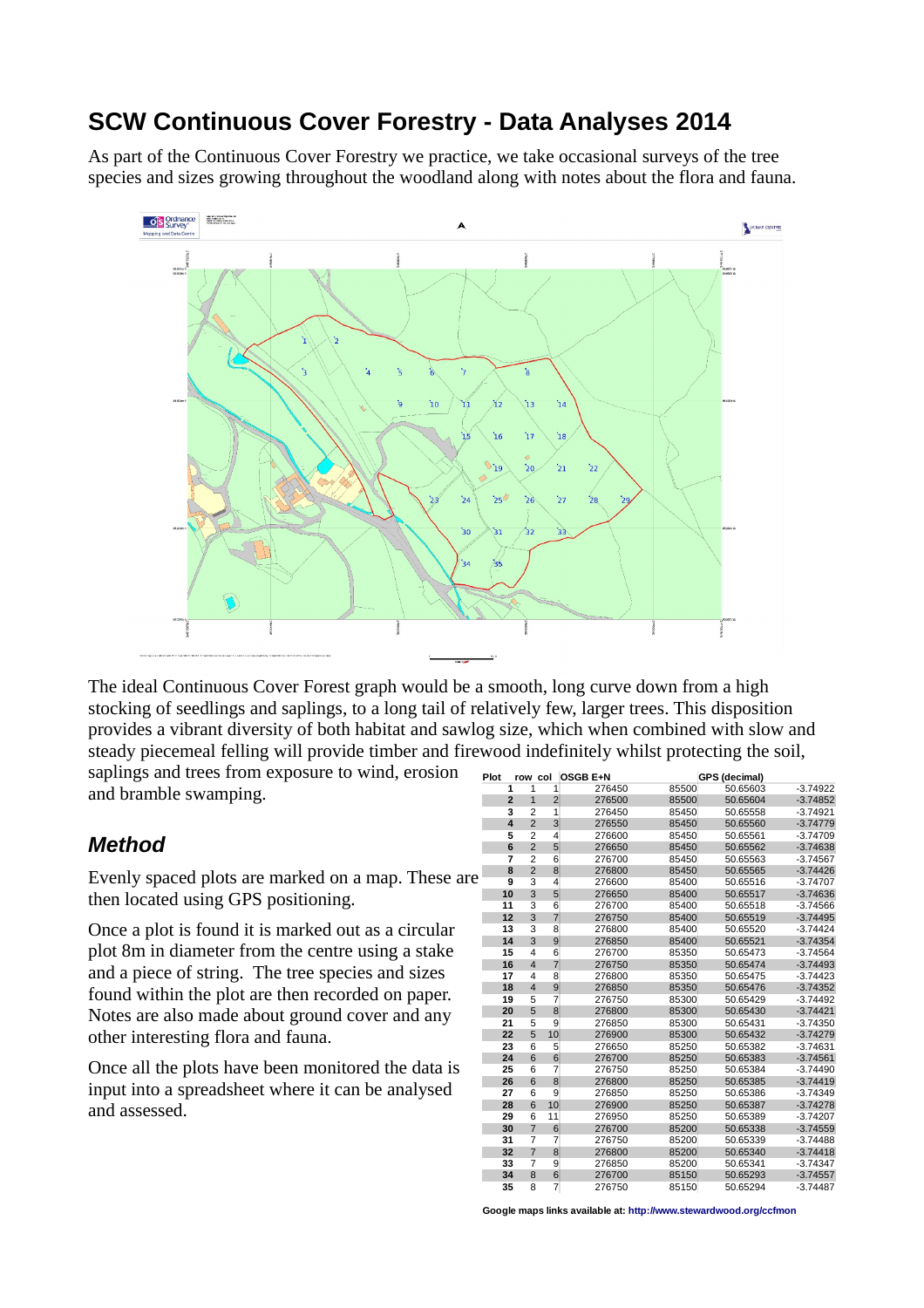## **SCW Continuous Cover Forestry - Data Analyses 2014**

As part of the Continuous Cover Forestry we practice, we take occasional surveys of the tree species and sizes growing throughout the woodland along with notes about the flora and fauna.



The ideal Continuous Cover Forest graph would be a smooth, long curve down from a high stocking of seedlings and saplings, to a long tail of relatively few, larger trees. This disposition provides a vibrant diversity of both habitat and sawlog size, which when combined with slow and steady piecemeal felling will provide timber and firewood indefinitely whilst protecting the soil,

saplings and trees from exposure to wind, erosion and bramble swamping.

## *Method*

Evenly spaced plots are marked on a map. These are then located using GPS positioning.

Once a plot is found it is marked out as a circular plot 8m in diameter from the centre using a stake and a piece of string. The tree species and sizes found within the plot are then recorded on paper. Notes are also made about ground cover and any other interesting flora and fauna.

Once all the plots have been monitored the data is input into a spreadsheet where it can be analysed and assessed.

| Plot | row col                          |                     | <b>OSGB E+N</b> |       | <b>GPS (decimal)</b> |            |
|------|----------------------------------|---------------------|-----------------|-------|----------------------|------------|
|      | $\mathbf{1}$<br>1                | 1                   | 276450          | 85500 | 50.65603             | $-3.74922$ |
|      | $\overline{2}$<br>$\mathbf{1}$   | $\overline{c}$      | 276500          | 85500 | 50.65604             | $-3.74852$ |
|      | $\overline{c}$<br>3              | 1                   | 276450          | 85450 | 50.65558             | $-3.74921$ |
|      | $\overline{\mathbf{4}}$          | $\overline{2}$<br>3 | 276550          | 85450 | 50.65560             | $-3.74779$ |
|      | $\overline{2}$<br>5              | 4                   | 276600          | 85450 | 50.65561             | $-3.74709$ |
|      | $\overline{2}$<br>6              | 5                   | 276650          | 85450 | 50.65562             | $-3.74638$ |
|      | $\overline{2}$<br>$\overline{7}$ | $\overline{6}$      | 276700          | 85450 | 50.65563             | $-3.74567$ |
|      | $\overline{2}$<br>8              | 8                   | 276800          | 85450 | 50.65565             | $-3.74426$ |
|      | 3<br>9                           | 4                   | 276600          | 85400 | 50.65516             | $-3.74707$ |
| 10   | 3                                | 5                   | 276650          | 85400 | 50.65517             | $-3.74636$ |
| 11   | 3                                | 6                   | 276700          | 85400 | 50.65518             | $-3.74566$ |
| 12   | 3                                | $\overline{7}$      | 276750          | 85400 | 50.65519             | $-3.74495$ |
| 13   | 3                                | 8                   | 276800          | 85400 | 50.65520             | $-3.74424$ |
| 14   | 3                                | 9                   | 276850          | 85400 | 50.65521             | $-3.74354$ |
| 15   | $\overline{4}$                   | 6                   | 276700          | 85350 | 50.65473             | $-3.74564$ |
| 16   | $\overline{\mathbf{4}}$          | $\overline{7}$      | 276750          | 85350 | 50.65474             | $-3.74493$ |
| 17   | 4                                | 8                   | 276800          | 85350 | 50.65475             | $-3.74423$ |
| 18   | $\overline{4}$                   | 9                   | 276850          | 85350 | 50.65476             | $-3.74352$ |
| 19   | 5                                | 7                   | 276750          | 85300 | 50.65429             | $-3.74492$ |
| 20   | 5                                | 8                   | 276800          | 85300 | 50.65430             | $-3.74421$ |
| 21   | 5                                | $\overline{9}$      | 276850          | 85300 | 50.65431             | $-3.74350$ |
| 22   | 5                                | 10                  | 276900          | 85300 | 50.65432             | $-3.74279$ |
| 23   | 6                                | 5                   | 276650          | 85250 | 50.65382             | $-3.74631$ |
| 24   | 6                                | 6                   | 276700          | 85250 | 50.65383             | $-3.74561$ |
| 25   | 6                                | $\overline{7}$      | 276750          | 85250 | 50.65384             | $-3.74490$ |
| 26   | 6                                | 8                   | 276800          | 85250 | 50.65385             | $-3.74419$ |
| 27   | 6                                | 9                   | 276850          | 85250 | 50.65386             | $-3.74349$ |
| 28   | 6                                | 10                  | 276900          | 85250 | 50.65387             | $-3.74278$ |
| 29   | 6                                | 11                  | 276950          | 85250 | 50.65389             | $-3.74207$ |
| 30   | $\overline{7}$                   | $6\phantom{1}6$     | 276700          | 85200 | 50.65338             | $-3.74559$ |
| 31   | $\overline{7}$                   | $\overline{7}$      | 276750          | 85200 | 50.65339             | $-3.74488$ |
| 32   | $\overline{7}$                   | 8                   | 276800          | 85200 | 50.65340             | $-3.74418$ |
| 33   | $\overline{7}$                   | 9                   | 276850          | 85200 | 50.65341             | $-3.74347$ |
| 34   | 8                                | 6                   | 276700          | 85150 | 50.65293             | $-3.74557$ |
| 35   | 8                                | $\overline{7}$      | 276750          | 85150 | 50.65294             | $-3.74487$ |

**Google maps links available at: http://www.stewardwood.org/ccfmon**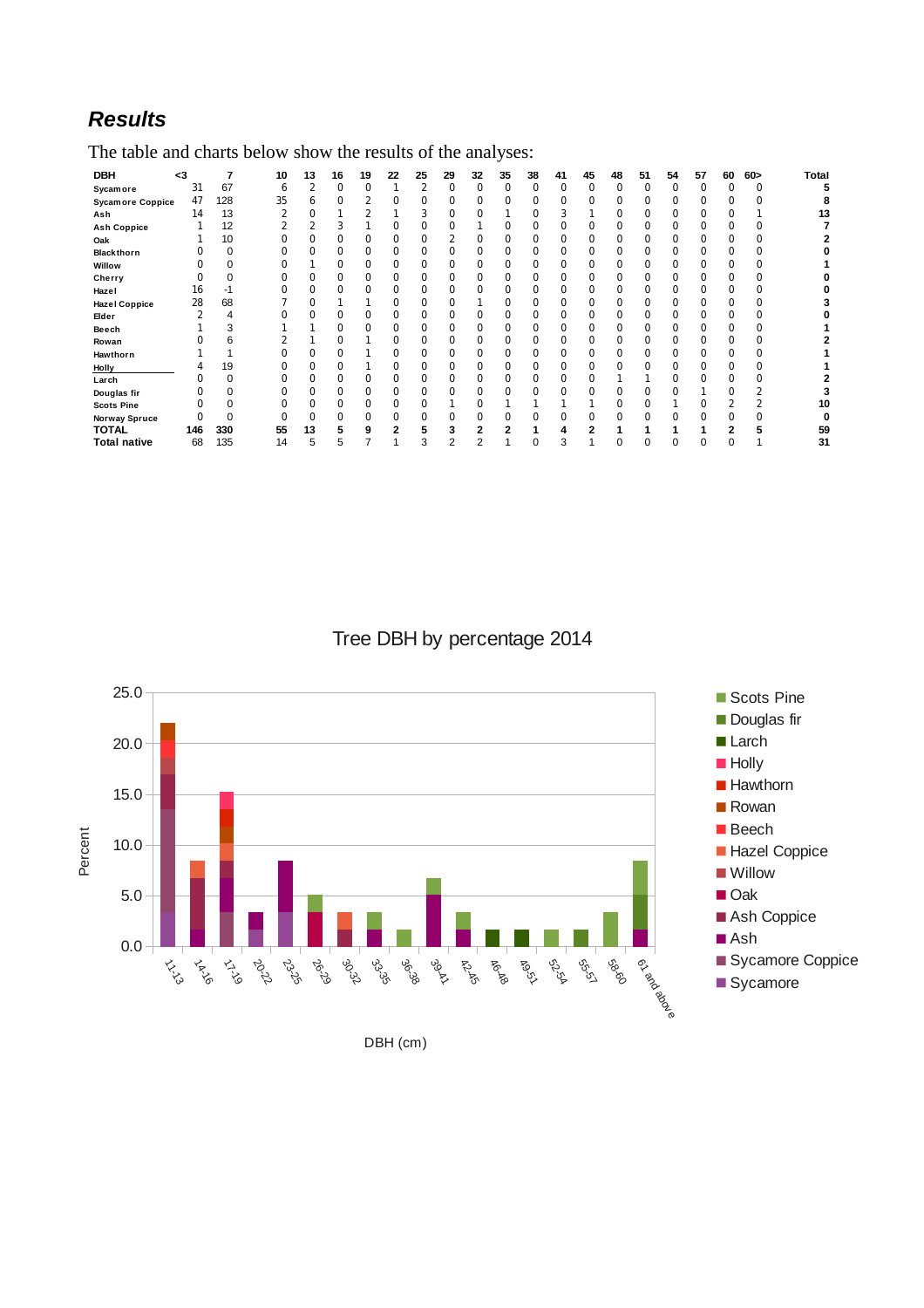## *Results*

The table and charts below show the results of the analyses:

| DBH                     | <3  |     | 10 | 13 | 16 | 19 | 22 | 25 | 29 | 32 | 35       | 38 | 41 | 45       | 48 | 51       | 54 | 57 | 60 | 60 > | <b>Total</b> |
|-------------------------|-----|-----|----|----|----|----|----|----|----|----|----------|----|----|----------|----|----------|----|----|----|------|--------------|
| <b>Sycamore</b>         | 31  | 67  | 6  | ∍  | 0  | 0  |    |    | 0  | ŋ  | $\Omega$ | 0  |    | $\Omega$ | 0  | $\Omega$ | 0  |    |    | U    |              |
| <b>Sycamore Coppice</b> | 47  | 128 | 35 | 6  |    |    |    |    | 0  |    |          |    |    |          |    |          |    |    |    |      |              |
| Ash                     | 14  | 13  |    |    |    |    |    |    | 0  |    |          | ი  |    |          |    |          |    |    |    |      | 13           |
| <b>Ash Coppice</b>      |     | 12  |    |    |    |    |    |    | 0  |    | ი        | N  |    |          |    |          |    |    |    |      |              |
| Oak                     |     | 10  |    |    |    | 0  |    |    |    |    |          |    |    |          |    |          |    |    |    |      |              |
| Blackthorn              |     | 0   |    |    |    |    |    |    | 0  |    |          | ი  |    |          |    |          |    |    |    |      |              |
| Willow                  |     |     |    |    |    | ი  |    |    | 0  |    | 0        | 0  |    | 0        |    |          |    |    |    |      |              |
| Cherry                  |     |     |    |    |    | 0  |    |    |    |    |          |    |    |          |    |          |    |    |    |      |              |
| Hazel                   | 16  | -1  |    |    |    |    |    |    | 0  |    |          | ი  |    |          |    |          |    |    |    |      |              |
| <b>Hazel Coppice</b>    | 28  | 68  |    |    |    |    |    |    | ი  |    | 0        | N  |    | 0        |    |          |    |    |    |      |              |
| Elder                   |     | 4   |    |    |    | 0  |    |    | 0  |    |          | 0  |    |          |    |          |    |    |    |      |              |
| Beech                   |     | 3   |    |    |    |    |    |    | 0  |    |          | ი  |    |          |    |          |    |    |    |      |              |
| Rowan                   |     | 6   |    |    |    |    |    |    | ŋ  |    |          | O  |    |          |    |          |    |    |    |      |              |
| Hawthorn                |     |     |    |    |    |    |    |    |    |    |          |    |    |          |    |          |    |    |    |      |              |
| Holly                   | 4   | 19  |    |    |    |    |    |    | 0  |    |          | ი  |    |          |    |          |    |    |    |      |              |
| Larch                   |     |     |    |    |    | ŋ  |    |    | ŋ  |    | 0        | N  |    |          |    |          |    |    |    |      |              |
| Douglas fir             |     |     |    |    |    |    |    |    |    |    |          |    |    |          |    |          |    |    |    |      |              |
| <b>Scots Pine</b>       |     |     |    |    |    | ŋ  |    |    |    |    |          |    |    |          |    |          |    |    |    |      | 10           |
| Norway Spruce           |     |     |    |    |    | ŋ  |    |    |    |    |          | ი  |    |          |    |          |    |    |    |      |              |
| <b>TOTAL</b>            | 146 | 330 | 55 | 13 |    | 9  |    |    |    |    |          |    |    |          |    |          |    |    |    |      | 59           |
| <b>Total native</b>     | 68  | 135 | 14 | 5  | ь  |    |    | 3  | 2  |    |          | 0  | 3  |          | 0  |          |    | 0  | 0  |      | 31           |

Tree DBH by percentage 2014



DBH (cm)